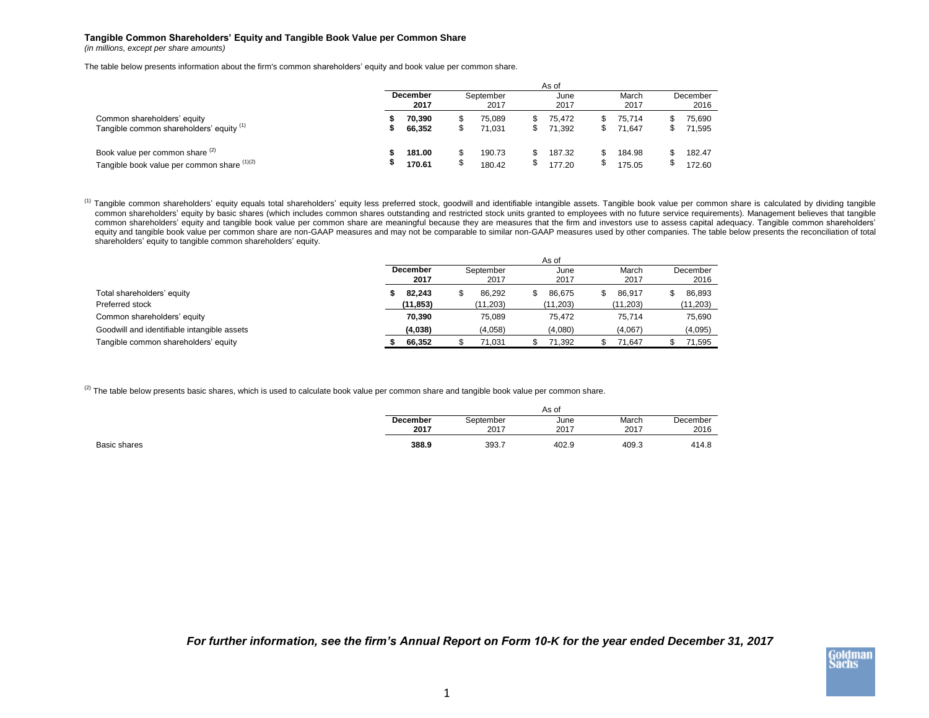## **Tangible Common Shareholders' Equity and Tangible Book Value per Common Share**

*(in millions, except per share amounts)*

The table below presents information about the firm's common shareholders' equity and book value per common share.

|                                                                                | As of            |                  |                   |                  |  |                  |  |                  |  |                  |  |
|--------------------------------------------------------------------------------|------------------|------------------|-------------------|------------------|--|------------------|--|------------------|--|------------------|--|
|                                                                                | December<br>2017 |                  | September<br>2017 |                  |  | June<br>2017     |  | March<br>2017    |  | December<br>2016 |  |
| Common shareholders' equity<br>Tangible common shareholders' equity (1)        |                  | 70.390<br>66,352 |                   | 75.089<br>71.031 |  | 75.472<br>71.392 |  | 75.714<br>71.647 |  | 75,690<br>71,595 |  |
| Book value per common share (2)<br>Tangible book value per common share (1)(2) |                  | 181.00<br>170.61 |                   | 190.73<br>180.42 |  | 187.32<br>177.20 |  | 184.98<br>175.05 |  | 182.47<br>172.60 |  |

<sup>(1)</sup> Tangible common shareholders' equity equals total shareholders' equity less preferred stock, goodwill and identifiable intangible assets. Tangible book value per common share is calculated by dividing tangible common shareholders' equity by basic shares (which includes common shares outstanding and restricted stock units granted to employees with no future service requirements). Management believes that tangible common shareholders' equity and tangible book value per common share are meaningful because they are measures that the firm and investors use to assess capital adequacy. Tangible common shareholders' equity and tangible book value per common share are non-GAAP measures and may not be comparable to similar non-GAAP measures used by other companies. The table below presents the reconciliation of total shareholders' equity to tangible common shareholders' equity.

|                                             |           | As of     |           |              |          |  |  |  |  |  |
|---------------------------------------------|-----------|-----------|-----------|--------------|----------|--|--|--|--|--|
|                                             | December  | September | June      | March        | December |  |  |  |  |  |
|                                             | 2017      | 2017      | 2017      | 2017         | 2016     |  |  |  |  |  |
| Total shareholders' equity                  | 82.243    | 86.292    | 86.675    | 86.917<br>\$ | 86,893   |  |  |  |  |  |
| Preferred stock                             | (11, 853) | (11, 203) | (11, 203) | (11, 203)    | (11,203) |  |  |  |  |  |
| Common shareholders' equity                 | 70.390    | 75.089    | 75.472    | 75.714       | 75.690   |  |  |  |  |  |
| Goodwill and identifiable intangible assets | (4,038)   | (4,058)   | (4,080)   | (4,067)      | (4,095)  |  |  |  |  |  |
| Tangible common shareholders' equity        | 66,352    | 71.031    | 71.392    | 71.647       | 71.595   |  |  |  |  |  |

 $^{(2)}$  The table below presents basic shares, which is used to calculate book value per common share and tangible book value per common share.

|              | As of    |           |       |       |          |  |  |  |  |
|--------------|----------|-----------|-------|-------|----------|--|--|--|--|
|              | December | September | June  | March | December |  |  |  |  |
|              | 2017     | 2017      | 2017  | 2017  | 2016     |  |  |  |  |
| Basic shares | 388.9    | 393.7     | 402.9 | 409.3 | 414.8    |  |  |  |  |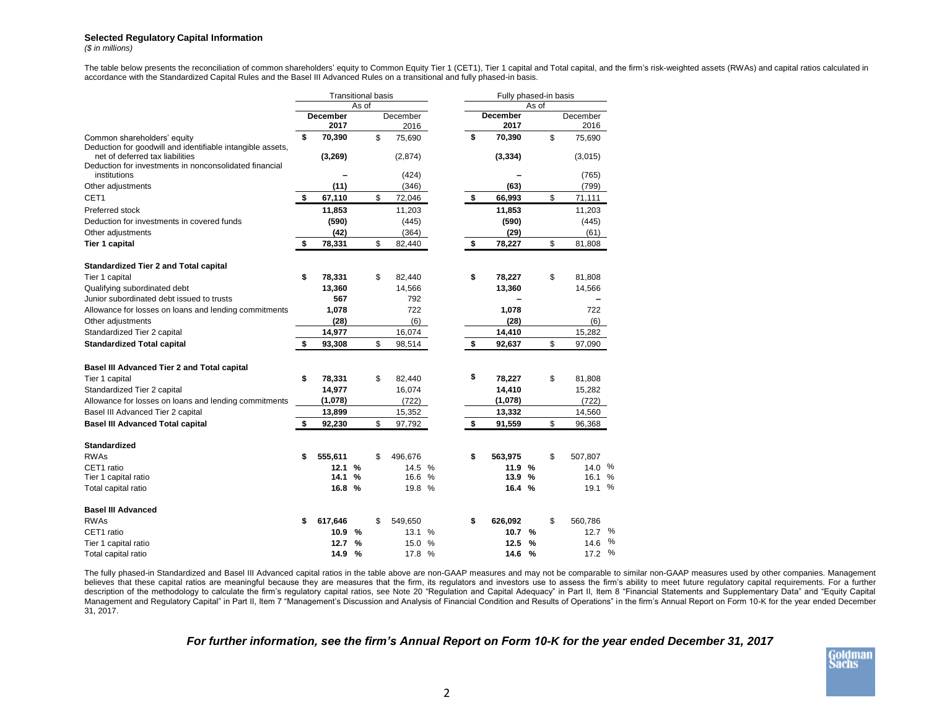## **Selected Regulatory Capital Information**

*(\$ in millions)*

The table below presents the reconciliation of common shareholders' equity to Common Equity Tier 1 (CET1), Tier 1 capital and Total capital, and the firm's risk-weighted assets (RWAs) and capital ratios calculated in accordance with the Standardized Capital Rules and the Basel III Advanced Rules on a transitional and fully phased-in basis.

|                                                                                                                                                         | <b>Transitional basis</b> |                         |               |    |                  |      | Fully phased-in basis |                         |               |    |                  |               |
|---------------------------------------------------------------------------------------------------------------------------------------------------------|---------------------------|-------------------------|---------------|----|------------------|------|-----------------------|-------------------------|---------------|----|------------------|---------------|
|                                                                                                                                                         |                           |                         | As of         |    |                  |      | As of                 |                         |               |    |                  |               |
|                                                                                                                                                         |                           | <b>December</b><br>2017 |               |    | December<br>2016 |      |                       | <b>December</b><br>2017 |               |    | December<br>2016 |               |
| Common shareholders' equity                                                                                                                             | \$                        | 70,390                  |               | \$ | 75,690           |      | \$                    | 70,390                  |               | \$ | 75,690           |               |
| Deduction for goodwill and identifiable intangible assets,<br>net of deferred tax liabilities<br>Deduction for investments in nonconsolidated financial |                           | (3,269)                 |               |    | (2,874)          |      |                       | (3, 334)                |               |    | (3,015)          |               |
| institutions                                                                                                                                            |                           |                         |               |    | (424)            |      |                       |                         |               |    | (765)            |               |
| Other adjustments                                                                                                                                       |                           | (11)                    |               |    | (346)            |      |                       | (63)                    |               |    | (799)            |               |
| CET <sub>1</sub>                                                                                                                                        | \$                        | 67,110                  |               | \$ | 72,046           |      | \$                    | 66,993                  |               | \$ | 71,111           |               |
| Preferred stock                                                                                                                                         |                           | 11,853                  |               |    | 11,203           |      |                       | 11,853                  |               |    | 11,203           |               |
| Deduction for investments in covered funds                                                                                                              |                           | (590)                   |               |    | (445)            |      |                       | (590)                   |               |    | (445)            |               |
| Other adjustments                                                                                                                                       |                           | (42)                    |               |    | (364)            |      |                       | (29)                    |               |    | (61)             |               |
| Tier 1 capital                                                                                                                                          | \$                        | 78,331                  |               | \$ | 82,440           |      | \$                    | 78,227                  |               | \$ | 81,808           |               |
| <b>Standardized Tier 2 and Total capital</b>                                                                                                            |                           |                         |               |    |                  |      |                       |                         |               |    |                  |               |
| Tier 1 capital                                                                                                                                          | \$                        | 78,331                  |               | \$ | 82,440           |      | \$                    | 78,227                  |               | \$ | 81,808           |               |
| Qualifying subordinated debt                                                                                                                            |                           | 13,360                  |               |    | 14,566           |      |                       | 13,360                  |               |    | 14,566           |               |
| Junior subordinated debt issued to trusts                                                                                                               |                           | 567                     |               |    | 792              |      |                       |                         |               |    |                  |               |
| Allowance for losses on loans and lending commitments                                                                                                   |                           | 1,078                   |               |    | 722              |      |                       | 1,078                   |               |    | 722              |               |
| Other adjustments                                                                                                                                       |                           | (28)                    |               |    | (6)              |      |                       | (28)                    |               |    | (6)              |               |
| Standardized Tier 2 capital                                                                                                                             |                           | 14,977                  |               |    | 16,074           |      |                       | 14,410                  |               |    | 15,282           |               |
| <b>Standardized Total capital</b>                                                                                                                       | \$                        | 93,308                  |               | \$ | 98,514           |      | \$                    | 92,637                  |               | \$ | 97,090           |               |
| Basel III Advanced Tier 2 and Total capital                                                                                                             |                           |                         |               |    |                  |      |                       |                         |               |    |                  |               |
| Tier 1 capital                                                                                                                                          | \$                        | 78,331                  |               | \$ | 82,440           |      | \$                    | 78,227                  |               | \$ | 81,808           |               |
| Standardized Tier 2 capital                                                                                                                             |                           | 14,977                  |               |    | 16,074           |      |                       | 14,410                  |               |    | 15,282           |               |
| Allowance for losses on loans and lending commitments                                                                                                   |                           | (1,078)                 |               |    | (722)            |      |                       | (1,078)                 |               |    | (722)            |               |
| Basel III Advanced Tier 2 capital                                                                                                                       |                           | 13,899                  |               |    | 15,352           |      |                       | 13,332                  |               |    | 14,560           |               |
| <b>Basel III Advanced Total capital</b>                                                                                                                 | \$                        | 92,230                  |               | \$ | 97,792           |      | \$                    | 91,559                  |               | \$ | 96,368           |               |
| <b>Standardized</b>                                                                                                                                     |                           |                         |               |    |                  |      |                       |                         |               |    |                  |               |
| <b>RWAs</b>                                                                                                                                             | \$                        | 555,611                 |               | \$ | 496,676          |      | \$                    | 563,975                 |               | \$ | 507,807          |               |
| CET1 ratio                                                                                                                                              |                           | 12.1                    | %             |    | 14.5             | $\%$ |                       | 11.9%                   |               |    | 14.0 %           |               |
| Tier 1 capital ratio                                                                                                                                    |                           | 14.1                    | $\frac{0}{0}$ |    | 16.6             | %    |                       | 13.9                    | $\frac{9}{6}$ |    | 16.1 %           |               |
| Total capital ratio                                                                                                                                     |                           | 16.8 %                  |               |    | 19.8             | $\%$ |                       | 16.4                    | $\frac{9}{6}$ |    | 19.1 %           |               |
| <b>Basel III Advanced</b>                                                                                                                               |                           |                         |               |    |                  |      |                       |                         |               |    |                  |               |
| <b>RWAs</b>                                                                                                                                             |                           | 617,646                 |               | \$ | 549,650          |      | \$                    | 626,092                 |               | \$ | 560,786          |               |
| CET1 ratio                                                                                                                                              |                           | 10.9                    | %             |    | 13.1             | %    |                       | 10.7                    | $\frac{9}{6}$ |    | 12.7             | %             |
| Tier 1 capital ratio                                                                                                                                    |                           | 12.7                    | %             |    | 15.0             | %    |                       | 12.5                    | $\frac{9}{6}$ |    | 14.6             | %             |
| Total capital ratio                                                                                                                                     |                           | 14.9                    | %             |    | 17.8             | $\%$ |                       | 14.6                    | $\frac{9}{6}$ |    | 17.2             | $\frac{0}{0}$ |

The fully phased-in Standardized and Basel III Advanced capital ratios in the table above are non-GAAP measures and may not be comparable to similar non-GAAP measures used by other companies. Management believes that these capital ratios are meaningful because they are measures that the firm, its regulators and investors use to assess the firm's ability to meet future regulatory capital requirements. For a further description of the methodology to calculate the firm's regulatory capital ratios, see Note 20 "Regulation and Capital Adequacy" in Part II, Item 8 "Financial Statements and Supplementary Data" and "Equity Capital Management and Regulatory Capital" in Part II, Item 7 "Management's Discussion and Analysis of Financial Condition and Results of Operations" in the firm's Annual Report on Form 10-K for the year ended December 31, 2017.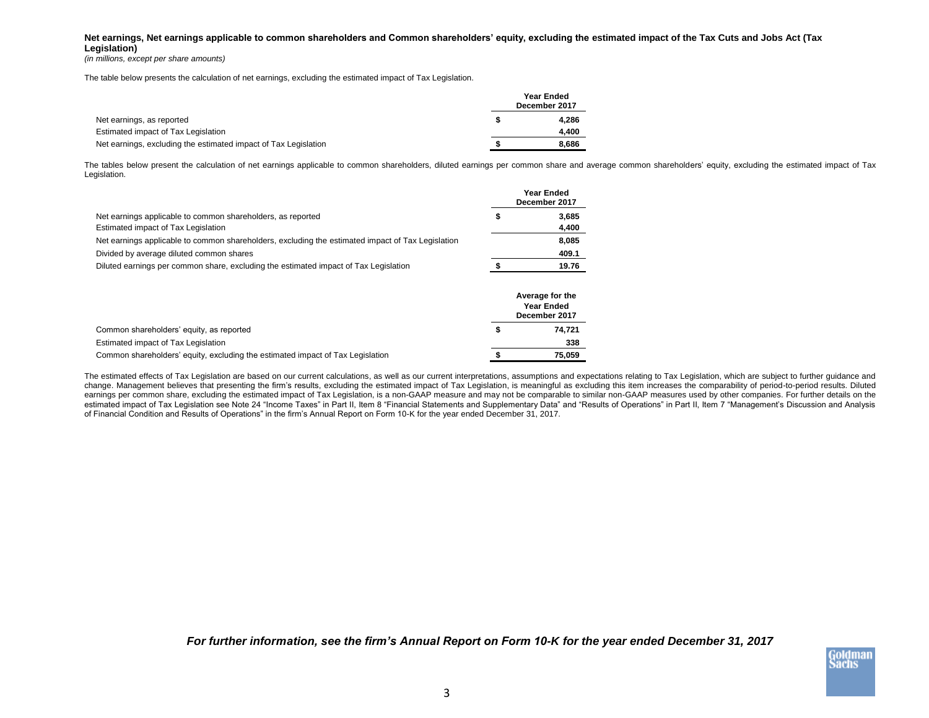## **Net earnings, Net earnings applicable to common shareholders and Common shareholders' equity, excluding the estimated impact of the Tax Cuts and Jobs Act (Tax Legislation)**

*(in millions, except per share amounts)*

The table below presents the calculation of net earnings, excluding the estimated impact of Tax Legislation.

|                                                                 | <b>Year Ended</b><br>December 2017 |
|-----------------------------------------------------------------|------------------------------------|
| Net earnings, as reported                                       | 4.286                              |
| Estimated impact of Tax Legislation                             | 4.400                              |
| Net earnings, excluding the estimated impact of Tax Legislation | 8.686                              |

The tables below present the calculation of net earnings applicable to common shareholders, diluted earnings per common share and average common shareholders' equity, excluding the estimated impact of Tax Legislation.

|                                                                                                   | Year Ended<br>December 2017 |
|---------------------------------------------------------------------------------------------------|-----------------------------|
| Net earnings applicable to common shareholders, as reported                                       | 3,685                       |
| Estimated impact of Tax Legislation                                                               | 4,400                       |
| Net earnings applicable to common shareholders, excluding the estimated impact of Tax Legislation | 8,085                       |
| Divided by average diluted common shares                                                          | 409.1                       |
| Diluted earnings per common share, excluding the estimated impact of Tax Legislation              | 19.76                       |
|                                                                                                   |                             |

|                                                                                | Average for the<br><b>Year Ended</b><br>December 2017 |
|--------------------------------------------------------------------------------|-------------------------------------------------------|
| Common shareholders' equity, as reported                                       | 74.721                                                |
| Estimated impact of Tax Legislation                                            | 338                                                   |
| Common shareholders' equity, excluding the estimated impact of Tax Legislation | 75.059                                                |

The estimated effects of Tax Legislation are based on our current calculations, as well as our current interpretations, assumptions and expectations relating to Tax Legislation, which are subject to further guidance and change. Management believes that presenting the firm's results, excluding the estimated impact of Tax Legislation, is meaningful as excluding this item increases the comparability of period-to-period results. Diluted earnings per common share, excluding the estimated impact of Tax Legislation, is a non-GAAP measure and may not be comparable to similar non-GAAP measures used by other companies. For further details on the estimated impact of Tax Legislation see Note 24 "Income Taxes" in Part II, Item 8 "Financial Statements and Supplementary Data" and "Results of Operations" in Part II, Item 7 "Management's Discussion and Analysis of Financial Condition and Results of Operations" in the firm's Annual Report on Form 10-K for the year ended December 31, 2017.